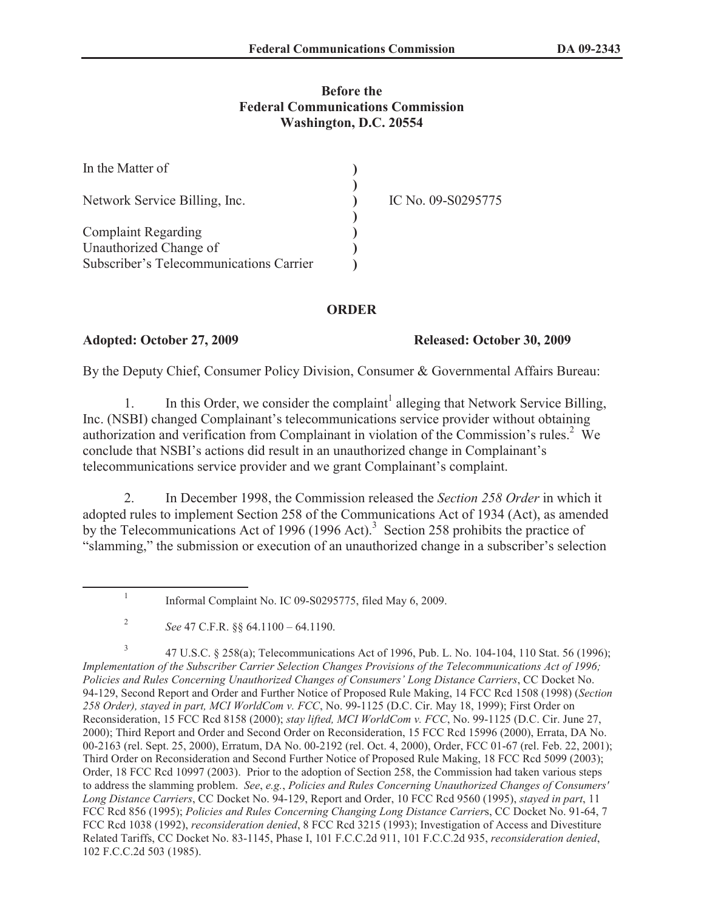## **Before the Federal Communications Commission Washington, D.C. 20554**

| In the Matter of                        |                    |
|-----------------------------------------|--------------------|
| Network Service Billing, Inc.           | IC No. 09-S0295775 |
|                                         |                    |
| <b>Complaint Regarding</b>              |                    |
| Unauthorized Change of                  |                    |
| Subscriber's Telecommunications Carrier |                    |

### **ORDER**

### **Adopted: October 27, 2009 Released: October 30, 2009**

By the Deputy Chief, Consumer Policy Division, Consumer & Governmental Affairs Bureau:

1. In this Order, we consider the complaint<sup>1</sup> alleging that Network Service Billing, Inc. (NSBI) changed Complainant's telecommunications service provider without obtaining authorization and verification from Complainant in violation of the Commission's rules.<sup>2</sup> We conclude that NSBI's actions did result in an unauthorized change in Complainant's telecommunications service provider and we grant Complainant's complaint.

2. In December 1998, the Commission released the *Section 258 Order* in which it adopted rules to implement Section 258 of the Communications Act of 1934 (Act), as amended by the Telecommunications Act of 1996 (1996 Act).<sup>3</sup> Section 258 prohibits the practice of "slamming," the submission or execution of an unauthorized change in a subscriber's selection

3 47 U.S.C. § 258(a); Telecommunications Act of 1996, Pub. L. No. 104-104, 110 Stat. 56 (1996); *Implementation of the Subscriber Carrier Selection Changes Provisions of the Telecommunications Act of 1996; Policies and Rules Concerning Unauthorized Changes of Consumers' Long Distance Carriers*, CC Docket No. 94-129, Second Report and Order and Further Notice of Proposed Rule Making, 14 FCC Rcd 1508 (1998) (*Section 258 Order), stayed in part, MCI WorldCom v. FCC*, No. 99-1125 (D.C. Cir. May 18, 1999); First Order on Reconsideration, 15 FCC Rcd 8158 (2000); *stay lifted, MCI WorldCom v. FCC*, No. 99-1125 (D.C. Cir. June 27, 2000); Third Report and Order and Second Order on Reconsideration, 15 FCC Rcd 15996 (2000), Errata, DA No. 00-2163 (rel. Sept. 25, 2000), Erratum, DA No. 00-2192 (rel. Oct. 4, 2000), Order, FCC 01-67 (rel. Feb. 22, 2001); Third Order on Reconsideration and Second Further Notice of Proposed Rule Making, 18 FCC Rcd 5099 (2003); Order, 18 FCC Rcd 10997 (2003). Prior to the adoption of Section 258, the Commission had taken various steps to address the slamming problem. *See*, *e.g.*, *Policies and Rules Concerning Unauthorized Changes of Consumers' Long Distance Carriers*, CC Docket No. 94-129, Report and Order, 10 FCC Rcd 9560 (1995), *stayed in part*, 11 FCC Rcd 856 (1995); *Policies and Rules Concerning Changing Long Distance Carrier*s, CC Docket No. 91-64, 7 FCC Rcd 1038 (1992), *reconsideration denied*, 8 FCC Rcd 3215 (1993); Investigation of Access and Divestiture Related Tariffs, CC Docket No. 83-1145, Phase I, 101 F.C.C.2d 911, 101 F.C.C.2d 935, *reconsideration denied*, 102 F.C.C.2d 503 (1985).

<sup>1</sup> Informal Complaint No. IC 09-S0295775, filed May 6, 2009.

<sup>2</sup> *See* 47 C.F.R. §§ 64.1100 – 64.1190.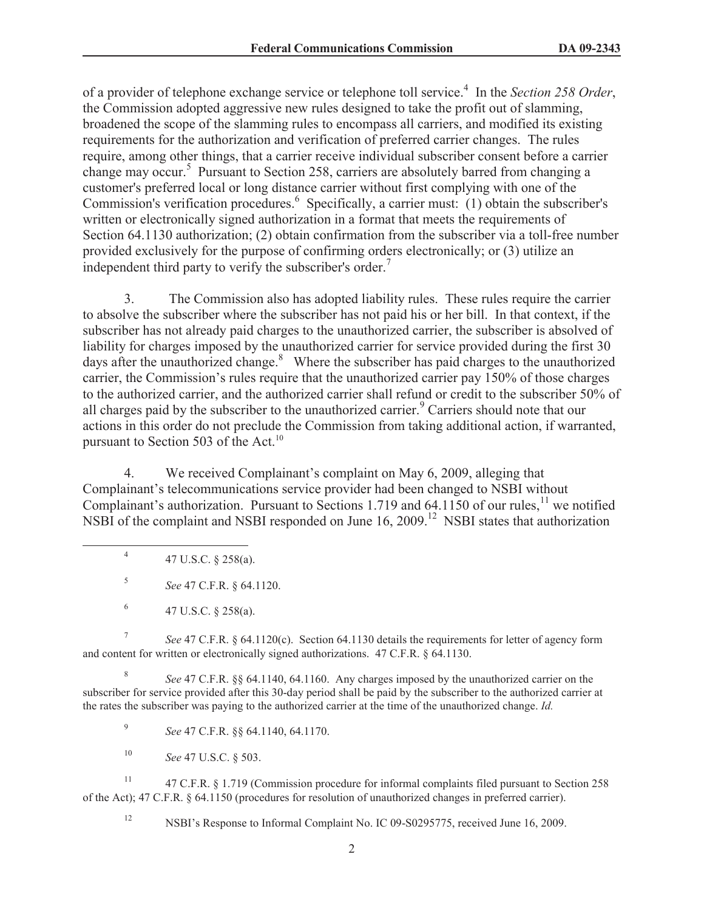of a provider of telephone exchange service or telephone toll service.<sup>4</sup> In the *Section 258 Order*, the Commission adopted aggressive new rules designed to take the profit out of slamming, broadened the scope of the slamming rules to encompass all carriers, and modified its existing requirements for the authorization and verification of preferred carrier changes. The rules require, among other things, that a carrier receive individual subscriber consent before a carrier change may occur.<sup>5</sup> Pursuant to Section 258, carriers are absolutely barred from changing a customer's preferred local or long distance carrier without first complying with one of the Commission's verification procedures.<sup>6</sup> Specifically, a carrier must: (1) obtain the subscriber's written or electronically signed authorization in a format that meets the requirements of Section 64.1130 authorization; (2) obtain confirmation from the subscriber via a toll-free number provided exclusively for the purpose of confirming orders electronically; or (3) utilize an independent third party to verify the subscriber's order.<sup>7</sup>

3. The Commission also has adopted liability rules. These rules require the carrier to absolve the subscriber where the subscriber has not paid his or her bill. In that context, if the subscriber has not already paid charges to the unauthorized carrier, the subscriber is absolved of liability for charges imposed by the unauthorized carrier for service provided during the first 30 days after the unauthorized change.<sup>8</sup> Where the subscriber has paid charges to the unauthorized carrier, the Commission's rules require that the unauthorized carrier pay 150% of those charges to the authorized carrier, and the authorized carrier shall refund or credit to the subscriber 50% of all charges paid by the subscriber to the unauthorized carrier.<sup>9</sup> Carriers should note that our actions in this order do not preclude the Commission from taking additional action, if warranted, pursuant to Section 503 of the Act.<sup>10</sup>

4. We received Complainant's complaint on May 6, 2009, alleging that Complainant's telecommunications service provider had been changed to NSBI without Complainant's authorization. Pursuant to Sections 1.719 and 64.1150 of our rules,<sup>11</sup> we notified NSBI of the complaint and NSBI responded on June 16, 2009.<sup>12</sup> NSBI states that authorization

4 47 U.S.C. § 258(a).

5 *See* 47 C.F.R. § 64.1120.

6 47 U.S.C. § 258(a).

7 *See* 47 C.F.R. § 64.1120(c). Section 64.1130 details the requirements for letter of agency form and content for written or electronically signed authorizations. 47 C.F.R. § 64.1130.

8 *See* 47 C.F.R. §§ 64.1140, 64.1160. Any charges imposed by the unauthorized carrier on the subscriber for service provided after this 30-day period shall be paid by the subscriber to the authorized carrier at the rates the subscriber was paying to the authorized carrier at the time of the unauthorized change. *Id.*

9 *See* 47 C.F.R. §§ 64.1140, 64.1170.

<sup>10</sup> *See* 47 U.S.C. § 503.

<sup>11</sup> 47 C.F.R. § 1.719 (Commission procedure for informal complaints filed pursuant to Section 258 of the Act); 47 C.F.R. § 64.1150 (procedures for resolution of unauthorized changes in preferred carrier).

<sup>12</sup> NSBI's Response to Informal Complaint No. IC 09-S0295775, received June 16, 2009.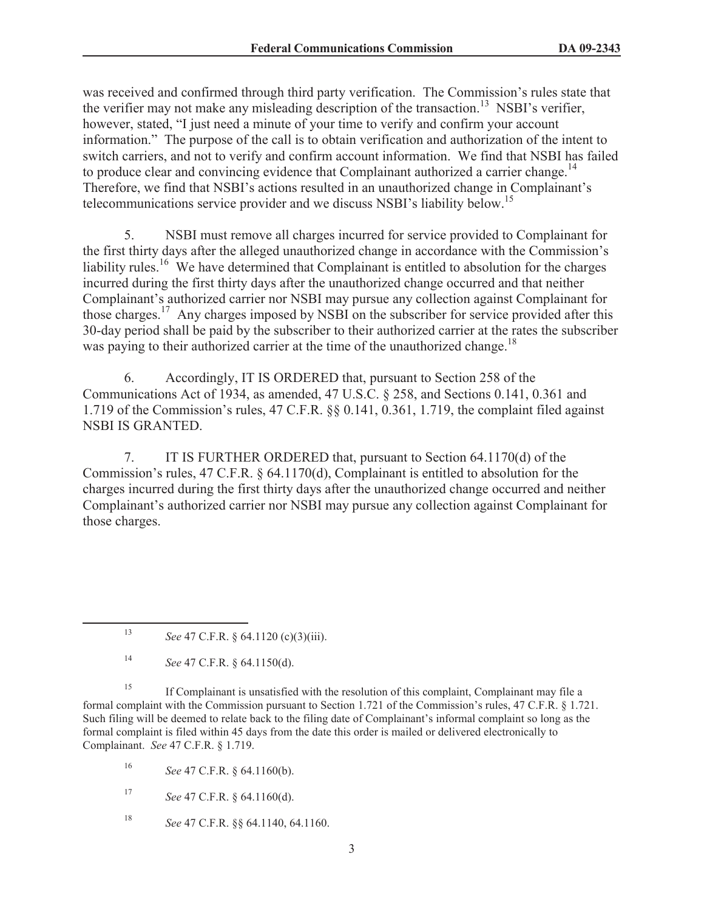was received and confirmed through third party verification. The Commission's rules state that the verifier may not make any misleading description of the transaction.<sup>13</sup> NSBI's verifier, however, stated, "I just need a minute of your time to verify and confirm your account information." The purpose of the call is to obtain verification and authorization of the intent to switch carriers, and not to verify and confirm account information. We find that NSBI has failed to produce clear and convincing evidence that Complainant authorized a carrier change.<sup>14</sup> Therefore, we find that NSBI's actions resulted in an unauthorized change in Complainant's telecommunications service provider and we discuss NSBI's liability below.<sup>15</sup>

5. NSBI must remove all charges incurred for service provided to Complainant for the first thirty days after the alleged unauthorized change in accordance with the Commission's liability rules.<sup>16</sup> We have determined that Complainant is entitled to absolution for the charges incurred during the first thirty days after the unauthorized change occurred and that neither Complainant's authorized carrier nor NSBI may pursue any collection against Complainant for those charges.<sup>17</sup> Any charges imposed by NSBI on the subscriber for service provided after this 30-day period shall be paid by the subscriber to their authorized carrier at the rates the subscriber was paying to their authorized carrier at the time of the unauthorized change.<sup>18</sup>

6. Accordingly, IT IS ORDERED that, pursuant to Section 258 of the Communications Act of 1934, as amended, 47 U.S.C. § 258, and Sections 0.141, 0.361 and 1.719 of the Commission's rules, 47 C.F.R. §§ 0.141, 0.361, 1.719, the complaint filed against NSBI IS GRANTED.

7. IT IS FURTHER ORDERED that, pursuant to Section 64.1170(d) of the Commission's rules, 47 C.F.R. § 64.1170(d), Complainant is entitled to absolution for the charges incurred during the first thirty days after the unauthorized change occurred and neither Complainant's authorized carrier nor NSBI may pursue any collection against Complainant for those charges.

<sup>15</sup> If Complainant is unsatisfied with the resolution of this complaint, Complainant may file a formal complaint with the Commission pursuant to Section 1.721 of the Commission's rules, 47 C.F.R. § 1.721. Such filing will be deemed to relate back to the filing date of Complainant's informal complaint so long as the formal complaint is filed within 45 days from the date this order is mailed or delivered electronically to Complainant. *See* 47 C.F.R. § 1.719.

<sup>16</sup> *See* 47 C.F.R. § 64.1160(b).

<sup>17</sup> *See* 47 C.F.R. § 64.1160(d).

<sup>18</sup> *See* 47 C.F.R. §§ 64.1140, 64.1160.

<sup>13</sup> *See* 47 C.F.R. § 64.1120 (c)(3)(iii).

<sup>14</sup> *See* 47 C.F.R. § 64.1150(d).